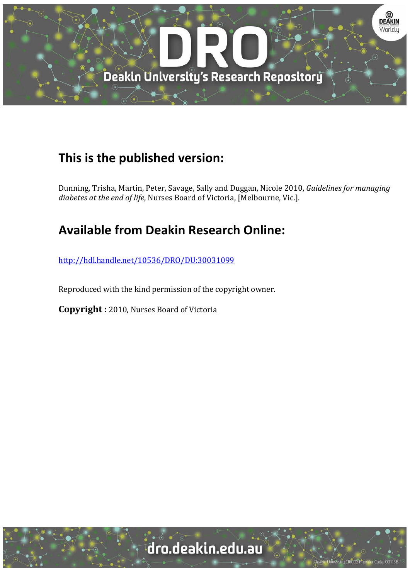

# **This is the published version:**

Dunning, Trisha, Martin, Peter, Savage, Sally and Duggan, Nicole 2010, *Guidelines for managing diabetes at the end of life*, Nurses Board of Victoria, [Melbourne, Vic.]. 

# **Available from Deakin Research Online:**

http://hdl.handle.net/10536/DRO/DU:30031099

Reproduced with the kind permission of the copyright owner.

**Copyright** : 2010, Nurses Board of Victoria

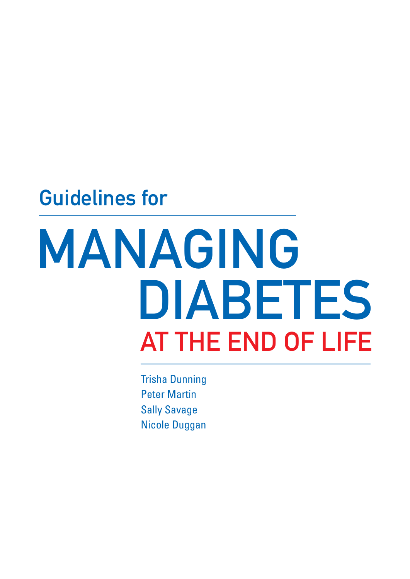# Guidelines for

# MANAGING AT THE END OF LIFE DIABETES

Trisha Dunning Peter Martin Sally Savage Nicole Duggan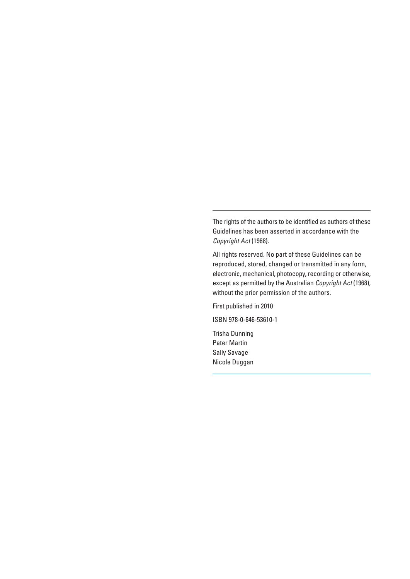The rights of the authors to be identified as authors of these Guidelines has been asserted in accordance with the Copyright Act (1968).

All rights reserved. No part of these Guidelines can be reproduced, stored, changed or transmitted in any form, electronic, mechanical, photocopy, recording or otherwise, except as permitted by the Australian Copyright Act (1968), without the prior permission of the authors.

First published in 2010

ISBN 978-0-646-53610-1

Trisha Dunning Peter Martin Sally Savage Nicole Duggan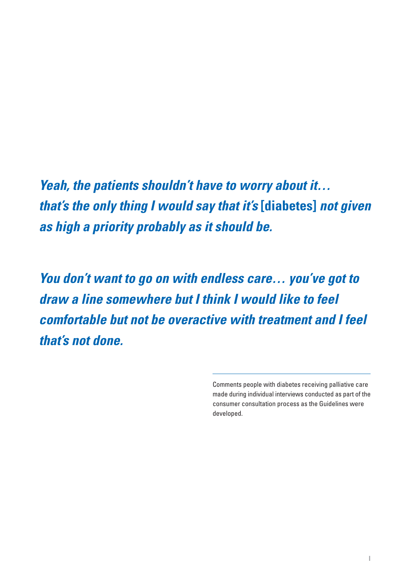**Yeah, the patients shouldn't have to worry about it… that's the only thing I would say that it's [diabetes] not given as high a priority probably as it should be.**

**You don't want to go on with endless care… you've got to draw a line somewhere but I think I would like to feel comfortable but not be overactive with treatment and I feel that's not done.**

> Comments people with diabetes receiving palliative care made during individual interviews conducted as part of the consumer consultation process as the Guidelines were developed.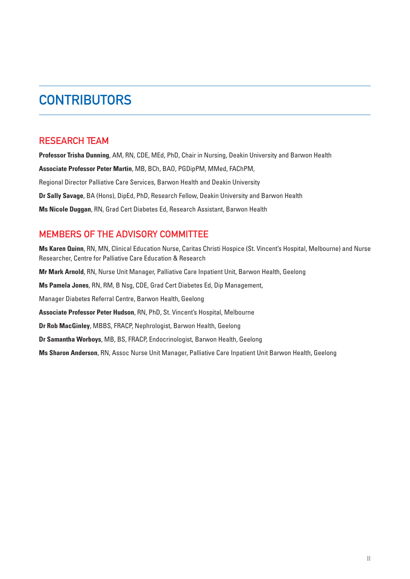# **CONTRIBUTORS**

### RESEARCH TEAM

**Professor Trisha Dunning**, AM, RN, CDE, MEd, PhD, Chair in Nursing, Deakin University and Barwon Health **Associate Professor Peter Martin**, MB, BCh, BAO, PGDipPM, MMed, FAChPM, Regional Director Palliative Care Services, Barwon Health and Deakin University **Dr Sally Savage**, BA (Hons), DipEd, PhD, Research Fellow, Deakin University and Barwon Health **Ms Nicole Duggan**, RN, Grad Cert Diabetes Ed, Research Assistant, Barwon Health

### MEMBERS OF THE ADVISORY COMMITTEE

**Ms Karen Quinn**, RN, MN, Clinical Education Nurse, Caritas Christi Hospice (St. Vincent's Hospital, Melbourne) and Nurse Researcher, Centre for Palliative Care Education & Research **Mr Mark Arnold**, RN, Nurse Unit Manager, Palliative Care Inpatient Unit, Barwon Health, Geelong **Ms Pamela Jones**, RN, RM, B Nsg, CDE, Grad Cert Diabetes Ed, Dip Management, Manager Diabetes Referral Centre, Barwon Health, Geelong **Associate Professor Peter Hudson**, RN, PhD, St. Vincent's Hospital, Melbourne **Dr Rob MacGinley**, MBBS, FRACP, Nephrologist, Barwon Health, Geelong **Dr Samantha Worboys**, MB, BS, FRACP, Endocrinologist, Barwon Health, Geelong **Ms Sharon Anderson**, RN, Assoc Nurse Unit Manager, Palliative Care Inpatient Unit Barwon Health, Geelong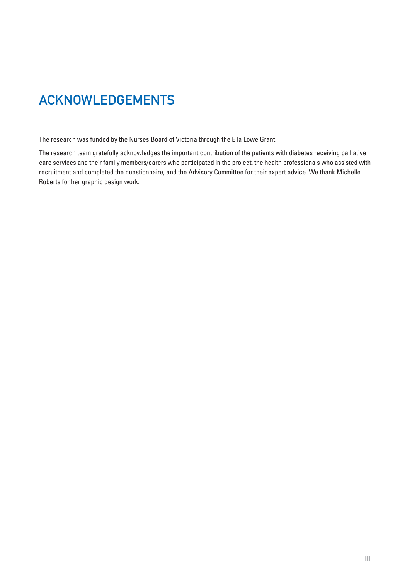# ACKNOWLEDGEMENTS

The research was funded by the Nurses Board of Victoria through the Ella Lowe Grant.

The research team gratefully acknowledges the important contribution of the patients with diabetes receiving palliative care services and their family members/carers who participated in the project, the health professionals who assisted with recruitment and completed the questionnaire, and the Advisory Committee for their expert advice. We thank Michelle Roberts for her graphic design work.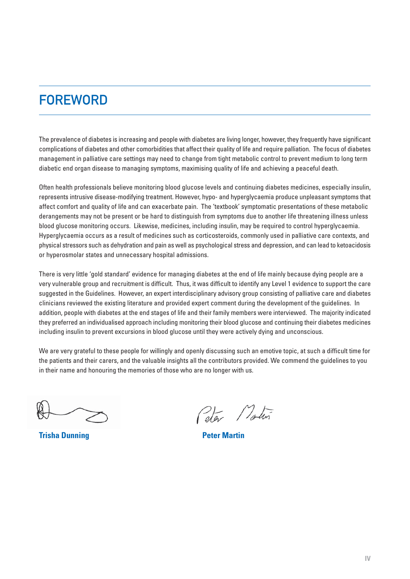# **FOREWORD**

The prevalence of diabetes is increasing and people with diabetes are living longer, however, they frequently have significant complications of diabetes and other comorbidities that affect their quality of life and require palliation. The focus of diabetes management in palliative care settings may need to change from tight metabolic control to prevent medium to long term diabetic end organ disease to managing symptoms, maximising quality of life and achieving a peaceful death.

Often health professionals believe monitoring blood glucose levels and continuing diabetes medicines, especially insulin, represents intrusive disease-modifying treatment. However, hypo- and hyperglycaemia produce unpleasant symptoms that affect comfort and quality of life and can exacerbate pain. The 'textbook' symptomatic presentations of these metabolic derangements may not be present or be hard to distinguish from symptoms due to another life threatening illness unless blood glucose monitoring occurs. Likewise, medicines, including insulin, may be required to control hyperglycaemia. Hyperglycaemia occurs as a result of medicines such as corticosteroids, commonly used in palliative care contexts, and physical stressors such as dehydration and pain as well as psychological stress and depression, and can lead to ketoacidosis or hyperosmolar states and unnecessary hospital admissions.

There is very little 'gold standard' evidence for managing diabetes at the end of life mainly because dying people are a very vulnerable group and recruitment is difficult. Thus, it was difficult to identify any Level 1 evidence to support the care suggested in the Guidelines. However, an expert interdisciplinary advisory group consisting of palliative care and diabetes clinicians reviewed the existing literature and provided expert comment during the development of the guidelines. In addition, people with diabetes at the end stages of life and their family members were interviewed. The majority indicated they preferred an individualised approach including monitoring their blood glucose and continuing their diabetes medicines including insulin to prevent excursions in blood glucose until they were actively dying and unconscious.

We are very grateful to these people for willingly and openly discussing such an emotive topic, at such a difficult time for the patients and their carers, and the valuable insights all the contributors provided. We commend the guidelines to you in their name and honouring the memories of those who are no longer with us.

ļ

**Trisha Dunning Trisha Dunning Peter Martin** 

Peter Modern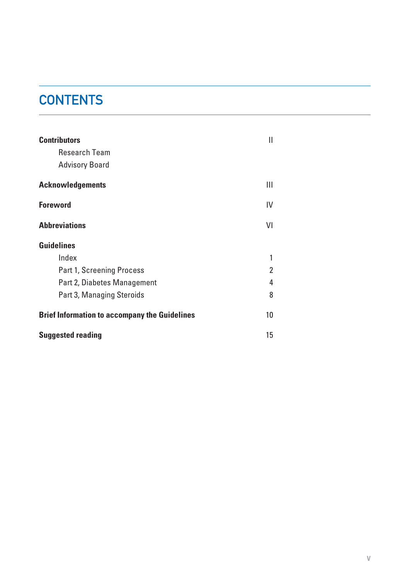# **CONTENTS**

| <b>Contributors</b><br><b>Research Team</b><br><b>Advisory Board</b> | Ш              |
|----------------------------------------------------------------------|----------------|
| <b>Acknowledgements</b>                                              | Ш              |
| <b>Foreword</b>                                                      | IV             |
| <b>Abbreviations</b>                                                 | VI             |
| <b>Guidelines</b>                                                    |                |
| Index                                                                | 1              |
| <b>Part 1, Screening Process</b>                                     | $\overline{2}$ |
| Part 2, Diabetes Management                                          | 4              |
| Part 3, Managing Steroids                                            | 8              |
| <b>Brief Information to accompany the Guidelines</b>                 |                |
| <b>Suggested reading</b>                                             |                |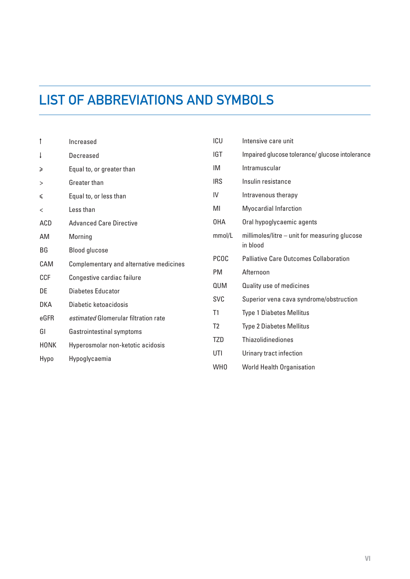# LIST OF ABBREVIATIONS AND SYMBOLS

| $\uparrow$  | Increased                               | ICU             | Intensive care unit                             |  |
|-------------|-----------------------------------------|-----------------|-------------------------------------------------|--|
| ţ           | Decreased                               | <b>IGT</b>      | Impaired glucose tolerance/ glucose intolerance |  |
| ≥           | Equal to, or greater than               | IM              | Intramuscular                                   |  |
| >           | Greater than                            | <b>IRS</b>      | Insulin resistance                              |  |
| ≤           | Equal to, or less than                  | IV              | Intravenous therapy                             |  |
| $\,<$       | Less than                               | MI              | <b>Myocardial Infarction</b>                    |  |
| ACD         | <b>Advanced Care Directive</b>          | 0HA             | Oral hypoglycaemic agents                       |  |
| AM          | Morning                                 | mmol/L          | millimoles/litre - unit for measuring glucose   |  |
| BG          | <b>Blood glucose</b>                    |                 | in blood                                        |  |
| CAM         | Complementary and alternative medicines | <b>PCOC</b>     | <b>Palliative Care Outcomes Collaboration</b>   |  |
| <b>CCF</b>  | Congestive cardiac failure              | PM              | Afternoon                                       |  |
| DE          | <b>Diabetes Educator</b>                | QUM             | Quality use of medicines                        |  |
| <b>DKA</b>  | Diabetic ketoacidosis                   | SVC             | Superior vena cava syndrome/obstruction         |  |
| eGFR        | estimated Glomerular filtration rate    | T1              | <b>Type 1 Diabetes Mellitus</b>                 |  |
| GI          | Gastrointestinal symptoms               | T <sub>2</sub>  | <b>Type 2 Diabetes Mellitus</b>                 |  |
| <b>HONK</b> | Hyperosmolar non-ketotic acidosis       | TZD             | <b>Thiazolidinediones</b>                       |  |
| Hypo        | Hypoglycaemia                           | UTI             | Urinary tract infection                         |  |
|             |                                         | WH <sub>0</sub> | <b>World Health Organisation</b>                |  |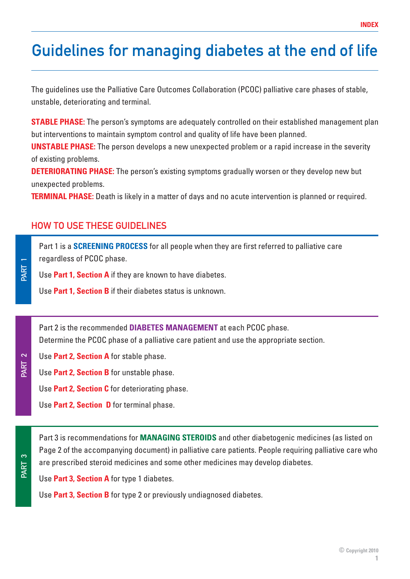# Guidelines for managing diabetes at the end of life

The guidelines use the Palliative Care Outcomes Collaboration (PCOC) palliative care phases of stable, unstable, deteriorating and terminal.

**STABLE PHASE:** The person's symptoms are adequately controlled on their established management plan but interventions to maintain symptom control and quality of life have been planned.

**UNSTABLE PHASE:** The person develops a new unexpected problem or a rapid increase in the severity of existing problems.

**DETERIORATING PHASE:** The person's existing symptoms gradually worsen or they develop new but unexpected problems.

**TERMINAL PHASE:** Death is likely in a matter of days and no acute intervention is planned or required.

### HOW TO USE THESE GUIDELINES

PART 1

PART 2

PART 3

Part 1 is a **SCREENING PROCESS** for all people when they are first referred to palliative care regardless of PCOC phase.

Use **Part 1, Section A** if they are known to have diabetes.

Use **Part 1, Section B** if their diabetes status is unknown.

Part 2 is the recommended **DIABETES MANAGEMENT** at each PCOC phase. Determine the PCOC phase of a palliative care patient and use the appropriate section.

- Use **Part 2, Section A** for stable phase.
- Use **Part 2, Section B** for unstable phase.
	- Use **Part 2, Section C** for deteriorating phase.
	- Use **Part 2, Section D** for terminal phase.

Part 3 is recommendations for **MANAGING STEROIDS** and other diabetogenic medicines (as listed on Page 2 of the accompanying document) in palliative care patients. People requiring palliative care who are prescribed steroid medicines and some other medicines may develop diabetes.

Use **Part 3, Section A** for type 1 diabetes.

Use **Part 3, Section B** for type 2 or previously undiagnosed diabetes.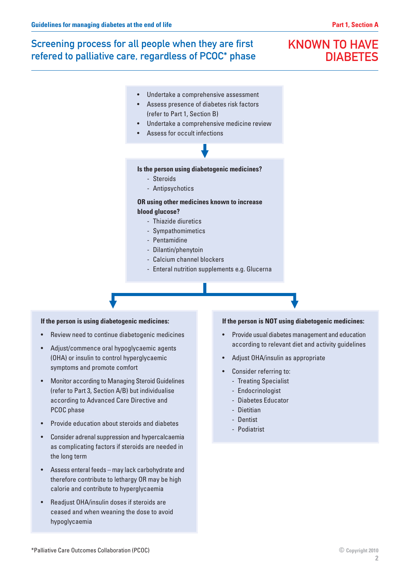# Screening process for all people when they are first refered to palliative care, regardless of PCOC\* phase

# KNOWN TO HAVE **DIABETES**

- Undertake a comprehensive assessment
- Assess presence of diabetes risk factors (refer to Part 1, Section B)
- Undertake a comprehensive medicine review
- Assess for occult infections



#### **Is the person using diabetogenic medicines?**

- Steroids
- Antipsychotics

#### **OR using other medicines known to increase blood glucose?**

- Thiazide diuretics
- Sympathomimetics
- Pentamidine
- Dilantin/phenytoin
- Calcium channel blockers
- Enteral nutrition supplements e.g. Glucerna

#### **If the person is using diabetogenic medicines:**

- Review need to continue diabetogenic medicines
- Adjust/commence oral hypoglycaemic agents (OHA) or insulin to control hyperglycaemic symptoms and promote comfort
- Monitor according to Managing Steroid Guidelines (refer to Part 3, Section A/B) but individualise according to Advanced Care Directive and PCOC phase
- Provide education about steroids and diabetes
- Consider adrenal suppression and hypercalcaemia as complicating factors if steroids are needed in the long term
- Assess enteral feeds may lack carbohydrate and therefore contribute to lethargy OR may be high calorie and contribute to hyperglycaemia
- Readjust OHA/insulin doses if steroids are ceased and when weaning the dose to avoid hypoglycaemia

#### **If the person is NOT using diabetogenic medicines:**

- Provide usual diabetes management and education according to relevant diet and activity guidelines
- Adjust OHA/insulin as appropriate
- Consider referring to:
	- Treating Specialist
	- Endocrinologist
	- Diabetes Educator
	- Dietitian
	- Dentist
	- Podiatrist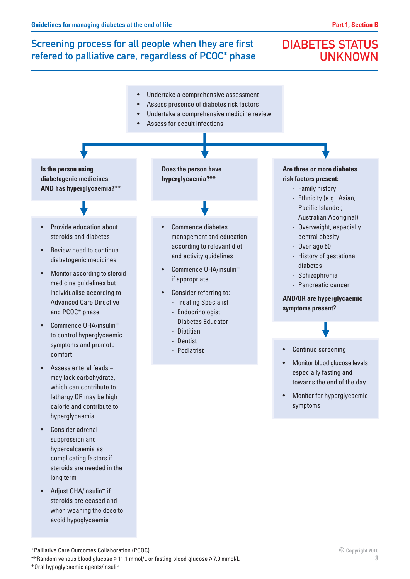# Screening process for all people when they are first refered to palliative care, regardless of PCOC\* phase

# DIABETES STATUS UNKNOWN



<sup>\*</sup>Palliative Care Outcomes Collaboration (PCOC)

\*\*Random venous blood glucose > 11.1 mmol/L or fasting blood glucose > 7.0 mmol/L

+Oral hypoglycaemic agents/insulin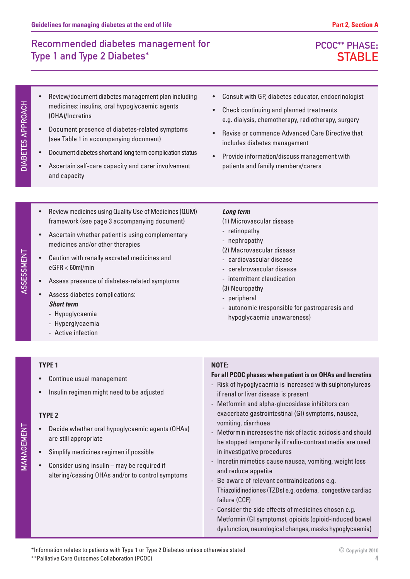PCOC\*\* PHASE: **STABLE** 

- Review/document diabetes management plan including medicines: insulins, oral hypoglycaemic agents (OHA)/Incretins
- Document presence of diabetes-related symptoms (see Table 1 in accompanying document)
- Document diabetes short and long term complication status
- Ascertain self-care capacity and carer involvement and capacity
- Consult with GP, diabetes educator, endocrinologist
- Check continuing and planned treatments e.g. dialysis, chemotherapy, radiotherapy, surgery
- Revise or commence Advanced Care Directive that includes diabetes management
- Provide information/discuss management with patients and family members/carers
- Review medicines using Quality Use of Medicines (QUM) framework (see page 3 accompanying document)
- Ascertain whether patient is using complementary medicines and/or other therapies
- Caution with renally excreted medicines and eGFR < 60ml/min
- Assess presence of diabetes-related symptoms
- Assess diabetes complications: **Short term**
	- Hypoglycaemia
	- Hyperglycaemia
	- Active infection

#### **TYPE 1**

- Continue usual management
- Insulin regimen might need to be adjusted

#### **TYPE 2**

MANAGEMENT

MANAGEMENT

- Decide whether oral hypoglycaemic agents (OHAs) are still appropriate
- Simplify medicines regimen if possible
- Consider using insulin may be required if altering/ceasing OHAs and/or to control symptoms

#### **Long term**

- (1) Microvascular disease
- retinopathy
- nephropathy
- (2) Macrovascular disease
- cardiovascular disease
- cerebrovascular disease
- intermittent claudication
- (3) Neuropathy
- peripheral
- autonomic (responsible for gastroparesis and hypoglycaemia unawareness)

#### **NOTE:**

#### **For all PCOC phases when patient is on OHAs and Incretins**

- Risk of hypoglycaemia is increased with sulphonylureas if renal or liver disease is present
- Metformin and alpha-glucosidase inhibitors can exacerbate gastrointestinal (GI) symptoms, nausea, vomiting, diarrhoea
- Metformin increases the risk of lactic acidosis and should be stopped temporarily if radio-contrast media are used in investigative procedures
- Incretin mimetics cause nausea, vomiting, weight loss and reduce appetite
- Be aware of relevant contraindications e.g. Thiazolidinediones (TZDs) e.g. oedema, congestive cardiac failure (CCF)
- Consider the side effects of medicines chosen e.g. Metformin (GI symptoms), opioids (opioid-induced bowel dysfunction, neurological changes, masks hypoglycaemia)

# ASSESSMENT ASSESSMENT



DIABETES APPROACH

**DIABETES APPROACH**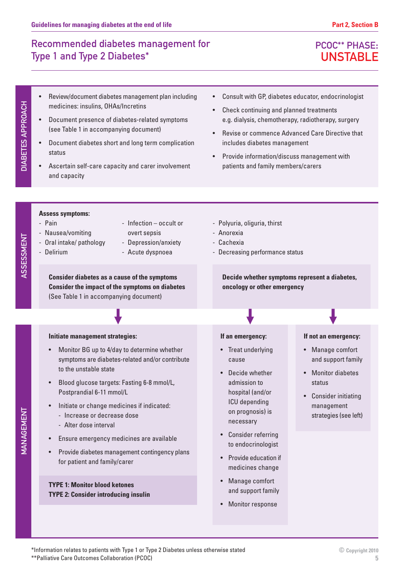# PCOC\*\* PHASE: UNSTABLE

**DIABETES APPROACH** DIABETES APPROACH

ASSESSMENT

ASSESSMENT

- Review/document diabetes management plan including medicines: insulins, OHAs/Incretins
- Document presence of diabetes-related symptoms (see Table 1 in accompanying document)
- Document diabetes short and long term complication status
- Ascertain self-care capacity and carer involvement and capacity
- Consult with GP, diabetes educator, endocrinologist
- Check continuing and planned treatments e.g. dialysis, chemotherapy, radiotherapy, surgery
- Revise or commence Advanced Care Directive that includes diabetes management
- Provide information/discuss management with patients and family members/carers

#### **Assess symptoms:**

- Pain
- Nausea/vomiting
- Oral intake/ pathology
- Delirium
- Infection occult or overt sepsis
- Depression/anxiety
- Acute dyspnoea

**Consider diabetes as a cause of the symptoms Consider the impact of the symptoms on diabetes** (See Table 1 in accompanying document)

#### **Initiate management strategies:**

- Monitor BG up to 4/day to determine whether symptoms are diabetes-related and/or contribute to the unstable state
- Blood glucose targets: Fasting 6-8 mmol/L, Postprandial 6-11 mmol/L
- Initiate or change medicines if indicated:
	- Increase or decrease dose
	- Alter dose interval
- Ensure emergency medicines are available
- Provide diabetes management contingency plans for patient and family/carer

#### **TYPE 1: Monitor blood ketones TYPE 2: Consider introducing insulin**

#### - Polyuria, oliguria, thirst

- Anorexia
- Cachexia
- Decreasing performance status

**Decide whether symptoms represent a diabetes, oncology or other emergency**

#### **If an emergency:**

- Treat underlying cause
- Decide whether admission to hospital (and/or ICU depending on prognosis) is necessary
- Consider referring to endocrinologist
- Provide education if medicines change
- Manage comfort and support family
- Monitor response

#### **If not an emergency:**

- Manage comfort and support family
- Monitor diabetes status
- Consider initiating management strategies (see left)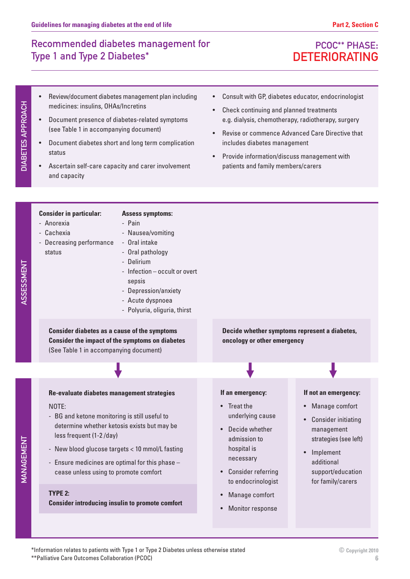# PCOC\*\* PHASE: DETERIORATING

- Review/document diabetes management plan including medicines: insulins, OHAs/Incretins
- Document presence of diabetes-related symptoms (see Table 1 in accompanying document)
- Document diabetes short and long term complication status
- Ascertain self-care capacity and carer involvement and capacity
- Consult with GP, diabetes educator, endocrinologist
- Check continuing and planned treatments e.g. dialysis, chemotherapy, radiotherapy, surgery
- Revise or commence Advanced Care Directive that includes diabetes management
- Provide information/discuss management with patients and family members/carers
- **Consider in particular:** - Anorexia - Cachexia - Decreasing performance status **Assess symptoms:** - Pain - Nausea/vomiting - Oral intake - Oral pathology - Delirium - Infection – occult or overt sepsis - Depression/anxiety - Acute dyspnoea - Polyuria, oliguria, thirst **Consider diabetes as a cause of the symptoms Consider the impact of the symptoms on diabetes** (See Table 1 in accompanying document) **Decide whether symptoms represent a diabetes, oncology or other emergency Re-evaluate diabetes management strategies** NOTE: - BG and ketone monitoring is still useful to determine whether ketosis exists but may be less frequent (1-2 /day) - New blood glucose targets < 10 mmol/L fasting - Ensure medicines are optimal for this phase – cease unless using to promote comfort **TYPE 2: Consider introducing insulin to promote comfort If an emergency:** • Treat the underlying cause • Decide whether admission to hospital is necessary • Consider referring to endocrinologist • Manage comfort Monitor response **If not an emergency:** • Manage comfort • Consider initiating management strategies (see left) • Implement additional support/education for family/carers

DIABETES APPROACH

**DIABETES APPROACH** 

\*Information relates to patients with Type 1 or Type 2 Diabetes unless otherwise stated \*\*Palliative Care Outcomes Collaboration (PCOC)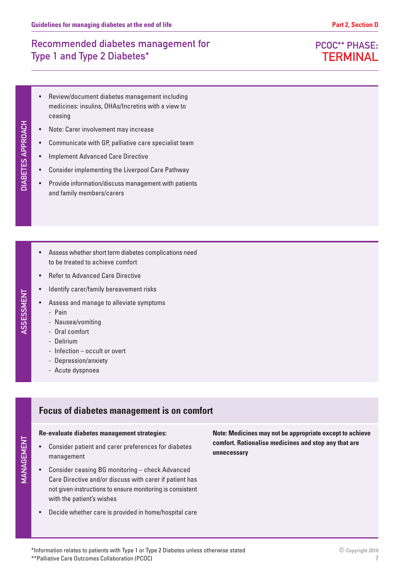- Review/document diabetes management including medicines: insulins, OHAs/Incretins with a view to ceasing
- Note: Carer involvement may increase
- Communicate with GP, palliative care specialist team
- Implement Advanced Care Directive
- Consider implementing the Liverpool Care Pathway
- Provide information/discuss management with patients and family members/carers
- Assess whether short term diabetes complications need to be treated to achieve comfort
- Refer to Advanced Care Directive
- Identify carer/family bereavement risks
- Assess and manage to alleviate symptoms
- 
- Nausea/vomiting
- Oral comfort
- Delirium

- Pain

- Infection occult or overt
- Depression/anxiety
- Acute dyspnoea

## **Focus of diabetes management is on comfort**

#### **Re-evaluate diabetes management strategies:**

- Consider patient and carer preferences for diabetes management
- Consider ceasing BG monitoring check Advanced Care Directive and/or discuss with carer if patient has not given instructions to ensure monitoring is consistent with the patient's wishes
- Decide whether care is provided in home/hospital care

**Note: Medicines may not be appropriate except to achieve comfort. Rationalise medicines and stop any that are unnecessary**

# PCOC\*\* PHASE: **TERMINAL**

ASSESSMENT ASSESSMENT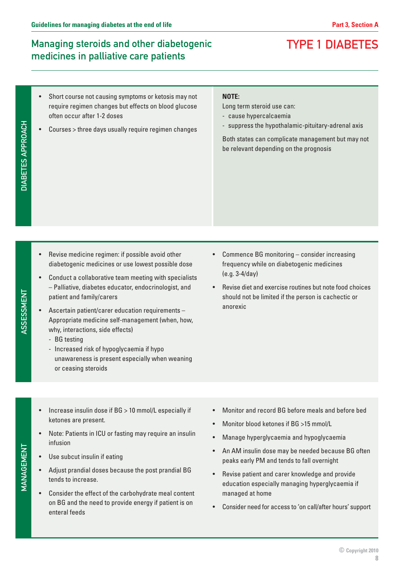TYPE 1 DIABETES

# Managing steroids and other diabetogenic medicines in palliative care patients

#### Short course not causing symptoms or ketosis may not require regimen changes but effects on blood glucose often occur after 1-2 doses

• Courses > three days usually require regimen changes

#### **NOTE:**

Long term steroid use can:

- cause hypercalcaemia
- suppress the hypothalamic-pituitary-adrenal axis

Both states can complicate management but may not be relevant depending on the prognosis

- Revise medicine regimen: if possible avoid other diabetogenic medicines or use lowest possible dose
- Conduct a collaborative team meeting with specialists – Palliative, diabetes educator, endocrinologist, and patient and family/carers
- Ascertain patient/carer education requirements Appropriate medicine self-management (when, how, why, interactions, side effects)
	- BG testing
	- Increased risk of hypoglycaemia if hypo unawareness is present especially when weaning or ceasing steroids
- Commence BG monitoring consider increasing frequency while on diabetogenic medicines (e.g. 3-4/day)
- Revise diet and exercise routines but note food choices should not be limited if the person is cachectic or anorexic

- Increase insulin dose if BG > 10 mmol/L especially if ketones are present.
- Note: Patients in ICU or fasting may require an insulin infusion
- Use subcut insulin if eating
- Adjust prandial doses because the post prandial BG tends to increase.
- Consider the effect of the carbohydrate meal content on BG and the need to provide energy if patient is on enteral feeds
- Monitor and record BG before meals and before bed
- Monitor blood ketones if BG >15 mmol/L
- Manage hyperglycaemia and hypoglycaemia
- An AM insulin dose may be needed because BG often peaks early PM and tends to fall overnight
- Revise patient and carer knowledge and provide education especially managing hyperglycaemia if managed at home
- Consider need for access to 'on call/after hours' support

MANAGEMENT

MANAGEMENT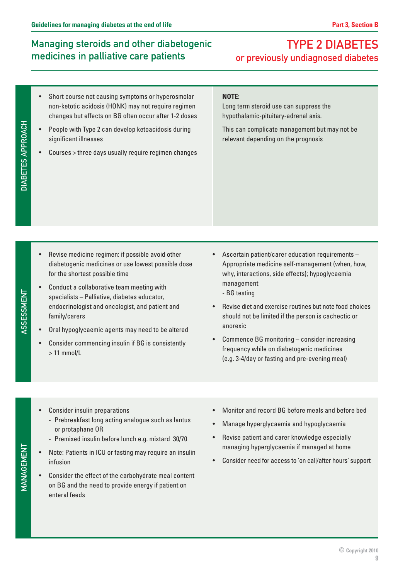# Managing steroids and other diabetogenic medicines in palliative care patients

# TYPE 2 DIABETES or previously undiagnosed diabetes

- Short course not causing symptoms or hyperosmolar non-ketotic acidosis (HONK) may not require regimen changes but effects on BG often occur after 1-2 doses
- People with Type 2 can develop ketoacidosis during significant illnesses
- Courses > three days usually require regimen changes

#### **NOTE:**

Long term steroid use can suppress the hypothalamic-pituitary-adrenal axis.

This can complicate management but may not be relevant depending on the prognosis

ASSESSMENT ASSESSMENT

DIABETES APPROACH

**DIABETES APPROACH** 

- Revise medicine regimen: if possible avoid other diabetogenic medicines or use lowest possible dose for the shortest possible time
- Conduct a collaborative team meeting with specialists – Palliative, diabetes educator, endocrinologist and oncologist, and patient and family/carers
- Oral hypoglycaemic agents may need to be altered
- Consider commencing insulin if BG is consistently > 11 mmol/L
- Ascertain patient/carer education requirements Appropriate medicine self-management (when, how, why, interactions, side effects); hypoglycaemia management
	- BG testing
- Revise diet and exercise routines but note food choices should not be limited if the person is cachectic or anorexic
- Commence BG monitoring consider increasing frequency while on diabetogenic medicines (e.g. 3-4/day or fasting and pre-evening meal)

- Consider insulin preparations
	- Prebreakfast long acting analogue such as lantus or protaphane OR
	- Premixed insulin before lunch e.g. mixtard 30/70
- Note: Patients in ICU or fasting may require an insulin infusion
- Consider the effect of the carbohydrate meal content on BG and the need to provide energy if patient on enteral feeds
- Monitor and record BG before meals and before bed
- Manage hyperglycaemia and hypoglycaemia
- Revise patient and carer knowledge especially managing hyperglycaemia if managed at home
- Consider need for access to 'on call/after hours' support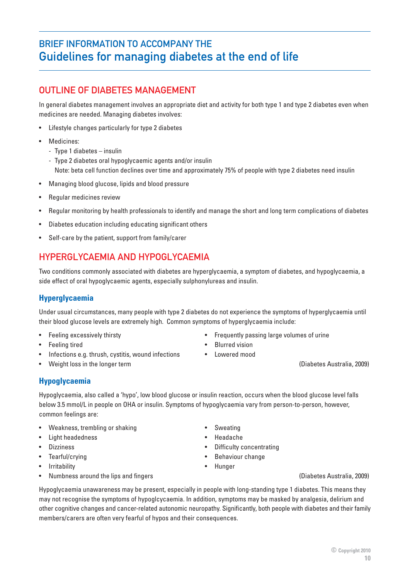# BRIEF INFORMATION TO ACCOMPANY THE Guidelines for managing diabetes at the end of life

# **OUTLINE OF DIABETES MANAGEMENT**

In general diabetes management involves an appropriate diet and activity for both type 1 and type 2 diabetes even when medicines are needed. Managing diabetes involves:

- Lifestyle changes particularly for type 2 diabetes
- Medicines:
	- Type 1 diabetes insulin
	- Type 2 diabetes oral hypoglycaemic agents and/or insulin Note: beta cell function declines over time and approximately 75% of people with type 2 diabetes need insulin
- Managing blood glucose, lipids and blood pressure
- Regular medicines review
- Regular monitoring by health professionals to identify and manage the short and long term complications of diabetes
- Diabetes education including educating significant others
- Self-care by the patient, support from family/carer

## HYPERGLYCAEMIA AND HYPOGLYCAEMIA

Two conditions commonly associated with diabetes are hyperglycaemia, a symptom of diabetes, and hypoglycaemia, a side effect of oral hypoglycaemic agents, especially sulphonylureas and insulin.

#### **Hyperglycaemia**

Under usual circumstances, many people with type 2 diabetes do not experience the symptoms of hyperglycaemia until their blood glucose levels are extremely high. Common symptoms of hyperglycaemia include:

- 
- Feeling tired Blurred vision
- Infections e.g. thrush, cystitis, wound infections Lowered mood
- Weight loss in the longer term (Diabetes Australia, 2009)
- **Hypoglycaemia**

Hypoglycaemia, also called a 'hypo', low blood glucose or insulin reaction, occurs when the blood glucose level falls below 3.5 mmol/L in people on OHA or insulin. Symptoms of hypoglycaemia vary from person-to-person, however, common feelings are:

- Weakness, trembling or shaking **•** Sweating
- Light headedness Headache
- 
- Tearful/crying Behaviour change
- 
- Numbness around the lips and fingers (Diabetes Australia, 2009)
- Feeling excessively thirsty  $\bullet$  Frequently passing large volumes of urine
	- -

- 
- Dizziness Difficulty concentrating
	-
	-

Hypoglycaemia unawareness may be present, especially in people with long-standing type 1 diabetes. This means they may not recognise the symptoms of hypoglcycaemia. In addition, symptoms may be masked by analgesia, delirium and other cognitive changes and cancer-related autonomic neuropathy. Significantly, both people with diabetes and their family members/carers are often very fearful of hypos and their consequences.

- 
- - -
		-
		-
- Irritability Hunger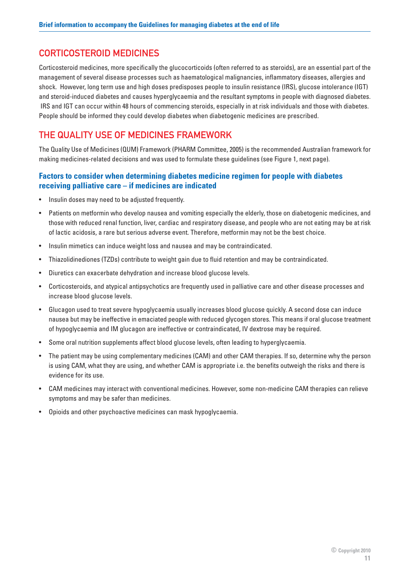### CORTICOSTEROID MEDICINES

Corticosteroid medicines, more specifically the glucocorticoids (often referred to as steroids), are an essential part of the management of several disease processes such as haematological malignancies, inflammatory diseases, allergies and shock. However, long term use and high doses predisposes people to insulin resistance (IRS), glucose intolerance (IGT) and steroid-induced diabetes and causes hyperglycaemia and the resultant symptoms in people with diagnosed diabetes. IRS and IGT can occur within 48 hours of commencing steroids, especially in at risk individuals and those with diabetes. People should be informed they could develop diabetes when diabetogenic medicines are prescribed.

### THE QUALITY USE OF MEDICINES FRAMEWORK

The Quality Use of Medicines (QUM) Framework (PHARM Committee, 2005) is the recommended Australian framework for making medicines-related decisions and was used to formulate these guidelines (see Figure 1, next page).

#### **Factors to consider when determining diabetes medicine regimen for people with diabetes receiving palliative care – if medicines are indicated**

- Insulin doses may need to be adjusted frequently.
- Patients on metformin who develop nausea and vomiting especially the elderly, those on diabetogenic medicines, and those with reduced renal function, liver, cardiac and respiratory disease, and people who are not eating may be at risk of lactic acidosis, a rare but serious adverse event. Therefore, metformin may not be the best choice.
- Insulin mimetics can induce weight loss and nausea and may be contraindicated.
- Thiazolidinediones (TZDs) contribute to weight gain due to fluid retention and may be contraindicated.
- Diuretics can exacerbate dehydration and increase blood glucose levels.
- Corticosteroids, and atypical antipsychotics are frequently used in palliative care and other disease processes and increase blood glucose levels.
- Glucagon used to treat severe hypoglycaemia usually increases blood glucose quickly. A second dose can induce nausea but may be ineffective in emaciated people with reduced glycogen stores. This means if oral glucose treatment of hypoglycaemia and IM glucagon are ineffective or contraindicated, IV dextrose may be required.
- Some oral nutrition supplements affect blood glucose levels, often leading to hyperglycaemia.
- The patient may be using complementary medicines (CAM) and other CAM therapies. If so, determine why the person is using CAM, what they are using, and whether CAM is appropriate i.e. the benefits outweigh the risks and there is evidence for its use.
- CAM medicines may interact with conventional medicines. However, some non-medicine CAM therapies can relieve symptoms and may be safer than medicines.
- Opioids and other psychoactive medicines can mask hypoglycaemia.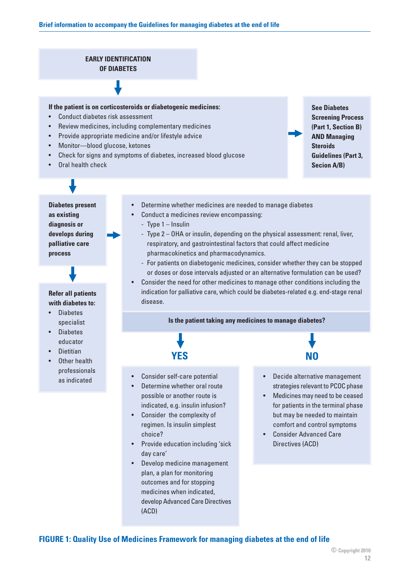#### **EARLY IDENTIFICATION OF DIABETES**

#### **If the patient is on corticosteroids or diabetogenic medicines:**

- Conduct diabetes risk assessment
- Review medicines, including complementary medicines
- Provide appropriate medicine and/or lifestyle advice
- Monitor—blood glucose, ketones
- Check for signs and symptoms of diabetes, increased blood glucose
- Oral health check

**See Diabetes Screening Process (Part 1, Section B) AND Managing Steroids Guidelines (Part 3, Secion A/B)**

**Diabetes present as existing diagnosis or develops during palliative care process**

#### **Refer all patients with diabetes to:**

- **Diabetes** specialist
- **Diabetes** educator
- Dietitian
- Other health professionals as indicated
- Determine whether medicines are needed to manage diabetes
- Conduct a medicines review encompassing:
	- Type 1 Insulin
	- Type 2 OHA or insulin, depending on the physical assessment: renal, liver, respiratory, and gastrointestinal factors that could affect medicine pharmacokinetics and pharmacodynamics.
	- For patients on diabetogenic medicines, consider whether they can be stopped or doses or dose intervals adjusted or an alternative formulation can be used?
- Consider the need for other medicines to manage other conditions including the indication for palliative care, which could be diabetes-related e.g. end-stage renal disease.

#### **Is the patient taking any medicines to manage diabetes?**



- Consider self-care potential
- Determine whether oral route possible or another route is indicated, e.g. insulin infusion?
- Consider the complexity of regimen. Is insulin simplest choice?
- Provide education including 'sick day care'
- Develop medicine management plan, a plan for monitoring outcomes and for stopping medicines when indicated, develop Advanced Care Directives (ACD)
- Decide alternative management
- strategies relevant to PCOC phase
- Medicines may need to be ceased for patients in the terminal phase but may be needed to maintain comfort and control symptoms
- Consider Advanced Care Directives (ACD)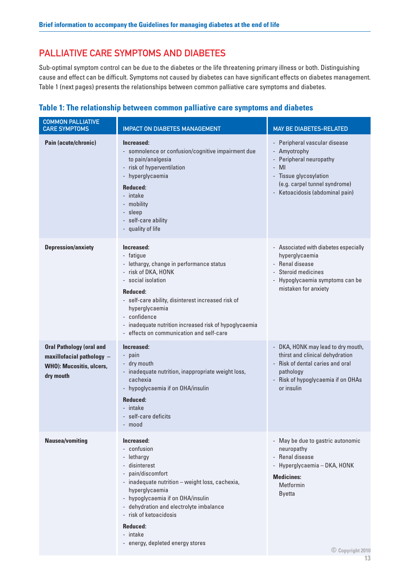### PALLIATIVE CARE SYMPTOMS AND DIABETES

Sub-optimal symptom control can be due to the diabetes or the life threatening primary illness or both. Distinguishing cause and effect can be difficult. Symptoms not caused by diabetes can have significant effects on diabetes management. Table 1 (next pages) presents the relationships between common palliative care symptoms and diabetes.

#### **Table 1: The relationship between common palliative care symptoms and diabetes**

| <b>COMMON PALLIATIVE</b><br><b>CARE SYMPTOMS</b>                                                      | <b>IMPACT ON DIABETES MANAGEMENT</b>                                                                                                                                                                                                                                                                                       | MAY BE DIABETES-RELATED                                                                                                                                                        |
|-------------------------------------------------------------------------------------------------------|----------------------------------------------------------------------------------------------------------------------------------------------------------------------------------------------------------------------------------------------------------------------------------------------------------------------------|--------------------------------------------------------------------------------------------------------------------------------------------------------------------------------|
| Pain (acute/chronic)                                                                                  | Increased:<br>- somnolence or confusion/cognitive impairment due<br>to pain/analgesia<br>- risk of hyperventilation<br>- hyperglycaemia<br>Reduced:<br>- intake<br>- mobility<br>- sleep<br>- self-care ability<br>- quality of life                                                                                       | - Peripheral vascular disease<br>- Amyotrophy<br>- Peripheral neuropathy<br>- MI<br>- Tissue glycosylation<br>(e.g. carpel tunnel syndrome)<br>- Ketoacidosis (abdominal pain) |
| <b>Depression/anxiety</b>                                                                             | Increased:<br>- fatigue<br>- lethargy, change in performance status<br>- risk of DKA, HONK<br>- social isolation<br>Reduced:<br>- self-care ability, disinterest increased risk of<br>hyperglycaemia<br>- confidence<br>- inadequate nutrition increased risk of hypoglycaemia<br>- effects on communication and self-care | - Associated with diabetes especially<br>hyperglycaemia<br>- Renal disease<br>- Steroid medicines<br>- Hypoglycaemia symptoms can be<br>mistaken for anxiety                   |
| <b>Oral Pathology (oral and</b><br>maxillofacial pathology -<br>WHO): Mucositis, ulcers,<br>dry mouth | Increased:<br>- pain<br>- dry mouth<br>- inadequate nutrition, inappropriate weight loss,<br>cachexia<br>- hypoglycaemia if on OHA/insulin<br>Reduced:<br>- intake<br>- self-care deficits<br>- mood                                                                                                                       | - DKA, HONK may lead to dry mouth,<br>thirst and clinical dehydration<br>- Risk of dental caries and oral<br>pathology<br>- Risk of hypoglycaemia if on OHAs<br>or insulin     |
| <b>Nausea/vomiting</b>                                                                                | Increased:<br>- confusion<br>- lethargy<br>- disinterest<br>- pain/discomfort<br>- inadequate nutrition - weight loss, cachexia,<br>hyperglycaemia<br>- hypoglycaemia if on OHA/insulin<br>- dehydration and electrolyte imbalance<br>- risk of ketoacidosis<br>Reduced:<br>- intake<br>- energy, depleted energy stores   | - May be due to gastric autonomic<br>neuropathy<br>- Renal disease<br>- Hyperglycaemia - DKA, HONK<br><b>Medicines:</b><br>Metformin<br><b>Byetta</b><br>© Copyright 2010      |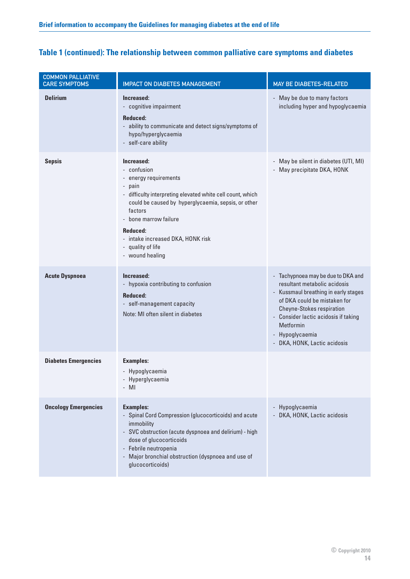| <b>COMMON PALLIATIVE</b><br><b>CARE SYMPTOMS</b> | <b>IMPACT ON DIABETES MANAGEMENT</b>                                                                                                                                                                                                                                                                           | MAY BE DIABETES-RELATED                                                                                                                                                                                                                                                                |
|--------------------------------------------------|----------------------------------------------------------------------------------------------------------------------------------------------------------------------------------------------------------------------------------------------------------------------------------------------------------------|----------------------------------------------------------------------------------------------------------------------------------------------------------------------------------------------------------------------------------------------------------------------------------------|
| <b>Delirium</b>                                  | Increased:<br>- cognitive impairment<br><b>Reduced:</b><br>- ability to communicate and detect signs/symptoms of<br>hypo/hyperglycaemia<br>- self-care ability                                                                                                                                                 | - May be due to many factors<br>including hyper and hypoglycaemia                                                                                                                                                                                                                      |
| <b>Sepsis</b>                                    | Increased:<br>- confusion<br>- energy requirements<br>- pain<br>- difficulty interpreting elevated white cell count, which<br>could be caused by hyperglycaemia, sepsis, or other<br>factors<br>- bone marrow failure<br>Reduced:<br>- intake increased DKA, HONK risk<br>- quality of life<br>- wound healing | - May be silent in diabetes (UTI, MI)<br>- May precipitate DKA, HONK                                                                                                                                                                                                                   |
| <b>Acute Dyspnoea</b>                            | Increased:<br>- hypoxia contributing to confusion<br>Reduced:<br>- self-management capacity<br>Note: MI often silent in diabetes                                                                                                                                                                               | - Tachypnoea may be due to DKA and<br>resultant metabolic acidosis<br>- Kussmaul breathing in early stages<br>of DKA could be mistaken for<br><b>Cheyne-Stokes respiration</b><br>- Consider lactic acidosis if taking<br>Metformin<br>- Hypoglycaemia<br>- DKA, HONK, Lactic acidosis |
| <b>Diabetes Emergencies</b>                      | <b>Examples:</b><br>- Hypoglycaemia<br>- Hyperglycaemia<br>$-MI$                                                                                                                                                                                                                                               |                                                                                                                                                                                                                                                                                        |
| <b>Oncology Emergencies</b>                      | <b>Examples:</b><br>- Spinal Cord Compression (glucocorticoids) and acute<br>immobility<br>- SVC obstruction (acute dyspnoea and delirium) - high<br>dose of glucocorticoids<br>- Febrile neutropenia<br>- Major bronchial obstruction (dyspnoea and use of<br>glucocorticoids)                                | - Hypoglycaemia<br>- DKA, HONK, Lactic acidosis                                                                                                                                                                                                                                        |

### **Table 1 (continued): The relationship between common palliative care symptoms and diabetes**